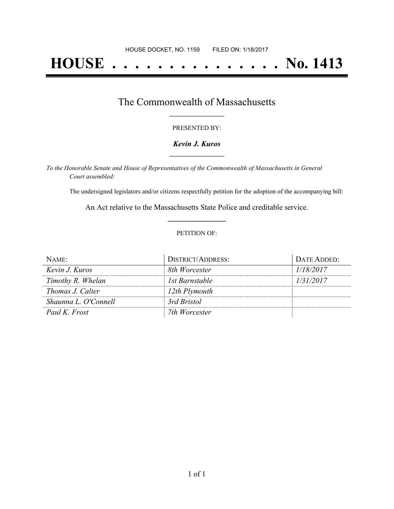# **HOUSE . . . . . . . . . . . . . . . No. 1413**

## The Commonwealth of Massachusetts **\_\_\_\_\_\_\_\_\_\_\_\_\_\_\_\_\_**

#### PRESENTED BY:

#### *Kevin J. Kuros* **\_\_\_\_\_\_\_\_\_\_\_\_\_\_\_\_\_**

*To the Honorable Senate and House of Representatives of the Commonwealth of Massachusetts in General Court assembled:*

The undersigned legislators and/or citizens respectfully petition for the adoption of the accompanying bill:

An Act relative to the Massachusetts State Police and creditable service. **\_\_\_\_\_\_\_\_\_\_\_\_\_\_\_**

#### PETITION OF:

| NAME:                   | DISTRICT/ADDRESS: | DATE ADDED: |
|-------------------------|-------------------|-------------|
| Kevin J. Kuros          | 8th Worcester     | 1/18/2017   |
| Timothy R. Whelan       | 1st Barnstable    | 1/31/2017   |
| <i>Thomas J. Calter</i> | 12th Plymouth     |             |
| Shaunna L. O'Connell    | 3rd Bristol       |             |
| Paul K. Frost           | 7th Worcester     |             |